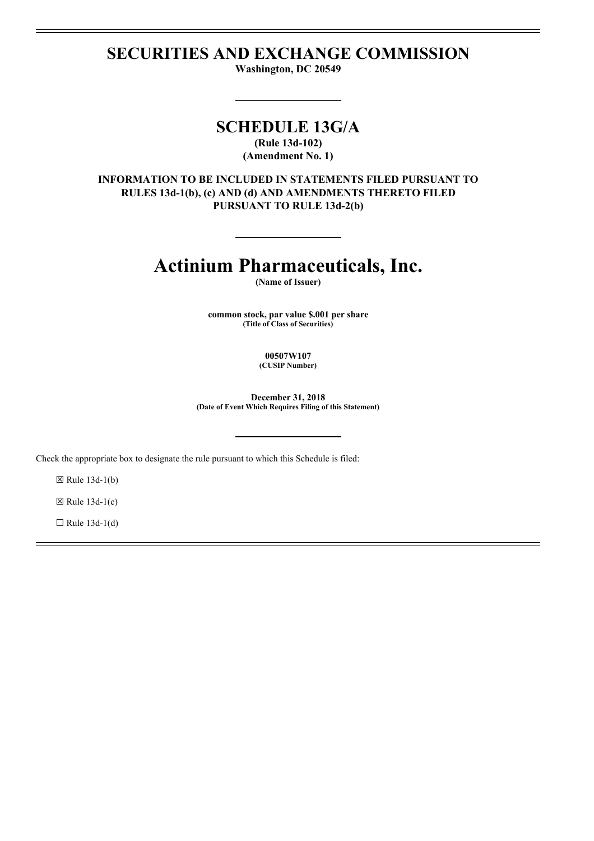# **SECURITIES AND EXCHANGE COMMISSION**

**Washington, DC 20549**

# **SCHEDULE 13G/A**

**(Rule 13d-102) (Amendment No. 1)**

**INFORMATION TO BE INCLUDED IN STATEMENTS FILED PURSUANT TO RULES 13d-1(b), (c) AND (d) AND AMENDMENTS THERETO FILED PURSUANT TO RULE 13d-2(b)**

# **Actinium Pharmaceuticals, Inc.**

**(Name of Issuer)**

**common stock, par value \$.001 per share (Title of Class of Securities)**

> **00507W107 (CUSIP Number)**

**December 31, 2018 (Date of Event Which Requires Filing of this Statement)**

Check the appropriate box to designate the rule pursuant to which this Schedule is filed:

 $\boxtimes$  Rule 13d-1(b)

 $\boxtimes$  Rule 13d-1(c)

 $\Box$  Rule 13d-1(d)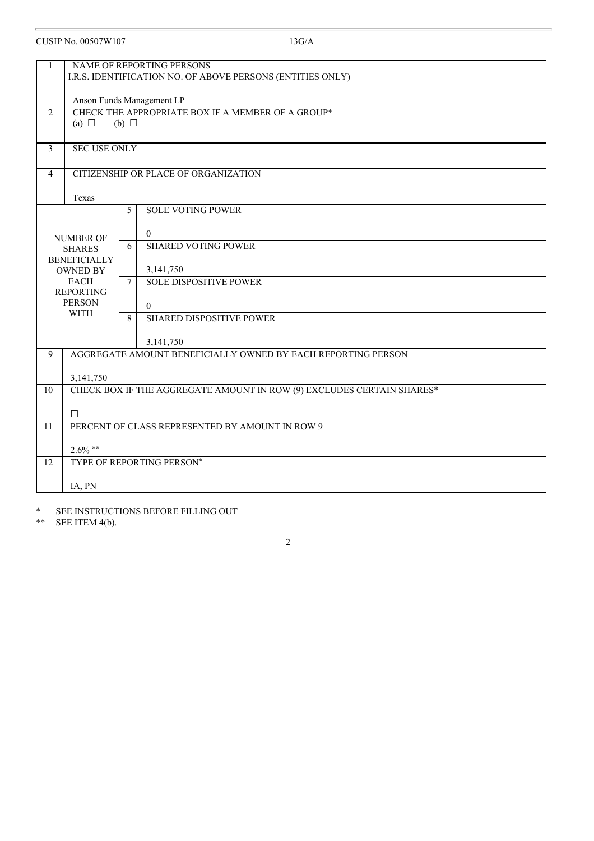| $\mathbf{1}$   |                                | NAME OF REPORTING PERSONS<br>I.R.S. IDENTIFICATION NO. OF ABOVE PERSONS (ENTITIES ONLY) |
|----------------|--------------------------------|-----------------------------------------------------------------------------------------|
|                |                                |                                                                                         |
|                |                                | Anson Funds Management LP                                                               |
| $\overline{2}$ | (a) $\Box$                     | CHECK THE APPROPRIATE BOX IF A MEMBER OF A GROUP*<br>$(b)$ $\square$                    |
|                |                                |                                                                                         |
| 3              | <b>SEC USE ONLY</b>            |                                                                                         |
| $\overline{4}$ |                                | CITIZENSHIP OR PLACE OF ORGANIZATION                                                    |
|                | Texas                          |                                                                                         |
|                |                                | <b>SOLE VOTING POWER</b><br>5                                                           |
|                |                                | $\overline{0}$                                                                          |
|                | NUMBER OF<br><b>SHARES</b>     | <b>SHARED VOTING POWER</b><br>6                                                         |
|                | <b>BENEFICIALLY</b>            |                                                                                         |
|                | <b>OWNED BY</b><br><b>EACH</b> | 3,141,750<br><b>SOLE DISPOSITIVE POWER</b><br>$7\overline{ }$                           |
|                | <b>REPORTING</b>               |                                                                                         |
|                | <b>PERSON</b><br><b>WITH</b>   | $\theta$                                                                                |
|                |                                | <b>SHARED DISPOSITIVE POWER</b><br>8                                                    |
|                |                                | 3,141,750                                                                               |
| 9              |                                | AGGREGATE AMOUNT BENEFICIALLY OWNED BY EACH REPORTING PERSON                            |
|                | 3,141,750                      |                                                                                         |
| 10             |                                | CHECK BOX IF THE AGGREGATE AMOUNT IN ROW (9) EXCLUDES CERTAIN SHARES*                   |
|                | П                              |                                                                                         |
| 11             |                                | PERCENT OF CLASS REPRESENTED BY AMOUNT IN ROW 9                                         |
|                | $2.6\%$ **                     |                                                                                         |
| 12             |                                | TYPE OF REPORTING PERSON*                                                               |
|                | IA, PN                         |                                                                                         |

2

\* SEE INSTRUCTIONS BEFORE FILLING OUT<br>\*\* SEE ITEM 4(b).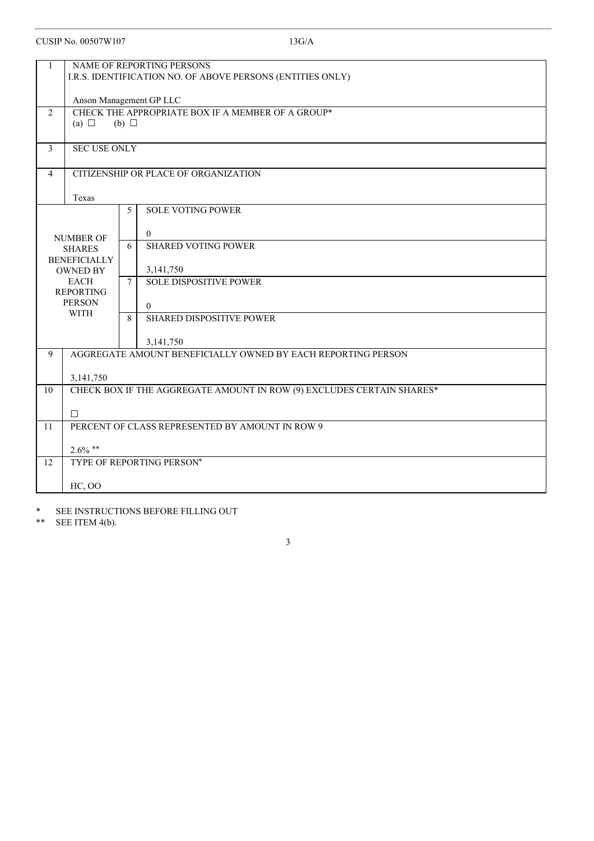| $\mathbf{1}$   |                                        | NAME OF REPORTING PERSONS<br>I.R.S. IDENTIFICATION NO. OF ABOVE PERSONS (ENTITIES ONLY) |  |
|----------------|----------------------------------------|-----------------------------------------------------------------------------------------|--|
|                |                                        |                                                                                         |  |
|                | Anson Management GP LLC                |                                                                                         |  |
| $\overline{2}$ | (a) $\Box$                             | CHECK THE APPROPRIATE BOX IF A MEMBER OF A GROUP*<br>$(b)$ $\square$                    |  |
|                |                                        |                                                                                         |  |
| $\overline{3}$ | <b>SEC USE ONLY</b>                    |                                                                                         |  |
|                |                                        |                                                                                         |  |
| $\overline{4}$ |                                        | CITIZENSHIP OR PLACE OF ORGANIZATION                                                    |  |
|                | Texas                                  |                                                                                         |  |
|                |                                        | <b>SOLE VOTING POWER</b><br>5                                                           |  |
|                |                                        |                                                                                         |  |
|                | <b>NUMBER OF</b>                       | $\overline{0}$<br><b>SHARED VOTING POWER</b><br>6                                       |  |
|                | <b>SHARES</b>                          |                                                                                         |  |
|                | <b>BENEFICIALLY</b><br><b>OWNED BY</b> | 3,141,750                                                                               |  |
|                | <b>EACH</b>                            | <b>SOLE DISPOSITIVE POWER</b><br>$\overline{7}$                                         |  |
|                | <b>REPORTING</b>                       |                                                                                         |  |
|                | <b>PERSON</b><br><b>WITH</b>           | $\theta$                                                                                |  |
|                |                                        | <b>SHARED DISPOSITIVE POWER</b><br>8                                                    |  |
|                |                                        | 3,141,750                                                                               |  |
| 9              |                                        | AGGREGATE AMOUNT BENEFICIALLY OWNED BY EACH REPORTING PERSON                            |  |
|                |                                        |                                                                                         |  |
|                | 3,141,750                              |                                                                                         |  |
| 10             |                                        | CHECK BOX IF THE AGGREGATE AMOUNT IN ROW (9) EXCLUDES CERTAIN SHARES*                   |  |
|                | П                                      |                                                                                         |  |
| 11             |                                        | PERCENT OF CLASS REPRESENTED BY AMOUNT IN ROW 9                                         |  |
|                | $2.6\%$ **                             |                                                                                         |  |
| 12             |                                        | TYPE OF REPORTING PERSON*                                                               |  |
|                |                                        |                                                                                         |  |
|                | <b>HC, OO</b>                          |                                                                                         |  |

\* SEE INSTRUCTIONS BEFORE FILLING OUT<br>\*\* SEE ITEM 4(b).

SEE ITEM 4(b).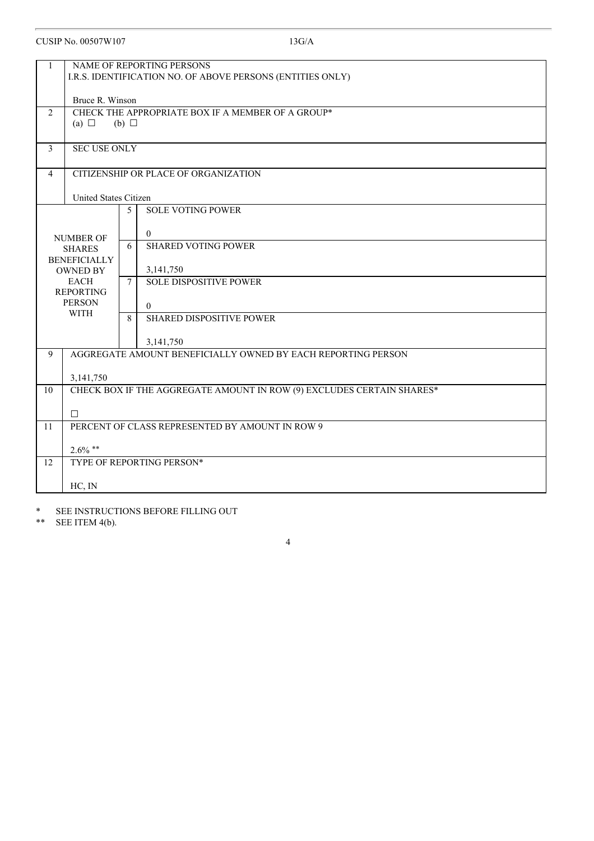| $\mathbf{1}$   |                                                            | NAME OF REPORTING PERSONS                                             |  |
|----------------|------------------------------------------------------------|-----------------------------------------------------------------------|--|
|                | I.R.S. IDENTIFICATION NO. OF ABOVE PERSONS (ENTITIES ONLY) |                                                                       |  |
|                |                                                            |                                                                       |  |
|                | Bruce R. Winson                                            |                                                                       |  |
| $\overline{2}$ |                                                            | CHECK THE APPROPRIATE BOX IF A MEMBER OF A GROUP*                     |  |
|                | (a) $\Box$                                                 | $(b)$ $\Box$                                                          |  |
|                |                                                            |                                                                       |  |
| $\mathfrak{Z}$ | <b>SEC USE ONLY</b>                                        |                                                                       |  |
| $\overline{4}$ |                                                            | CITIZENSHIP OR PLACE OF ORGANIZATION                                  |  |
|                |                                                            |                                                                       |  |
|                | <b>United States Citizen</b>                               |                                                                       |  |
|                |                                                            | <b>SOLE VOTING POWER</b><br>5                                         |  |
|                |                                                            |                                                                       |  |
|                | <b>NUMBER OF</b>                                           | $\theta$                                                              |  |
|                | <b>SHARES</b>                                              | <b>SHARED VOTING POWER</b><br>6                                       |  |
|                | <b>BENEFICIALLY</b><br><b>OWNED BY</b>                     | 3,141,750                                                             |  |
|                | <b>EACH</b>                                                | <b>SOLE DISPOSITIVE POWER</b><br>7 <sup>7</sup>                       |  |
|                | <b>REPORTING</b>                                           |                                                                       |  |
|                | <b>PERSON</b>                                              | $\theta$                                                              |  |
|                | <b>WITH</b>                                                | 8<br><b>SHARED DISPOSITIVE POWER</b>                                  |  |
|                |                                                            |                                                                       |  |
|                |                                                            | 3,141,750                                                             |  |
| 9              |                                                            | AGGREGATE AMOUNT BENEFICIALLY OWNED BY EACH REPORTING PERSON          |  |
|                | 3,141,750                                                  |                                                                       |  |
| 10             |                                                            | CHECK BOX IF THE AGGREGATE AMOUNT IN ROW (9) EXCLUDES CERTAIN SHARES* |  |
|                |                                                            |                                                                       |  |
|                | $\Box$                                                     |                                                                       |  |
| 11             |                                                            | PERCENT OF CLASS REPRESENTED BY AMOUNT IN ROW 9                       |  |
|                | $2.6\%$ **                                                 |                                                                       |  |
| 12             |                                                            | TYPE OF REPORTING PERSON*                                             |  |
|                |                                                            |                                                                       |  |
|                | HC, IN                                                     |                                                                       |  |

4

\* SEE INSTRUCTIONS BEFORE FILLING OUT<br>\*\* SEE ITEM 4(b).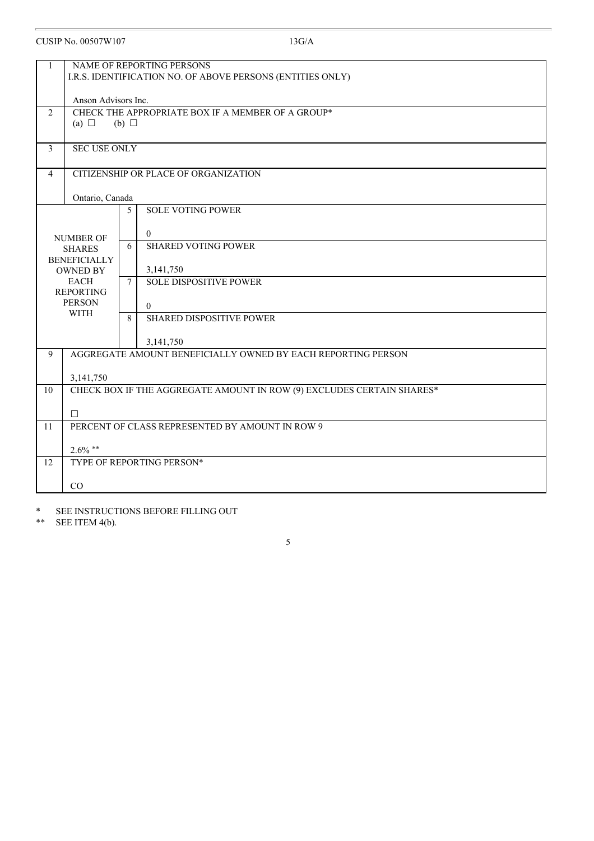| 1                                                               | NAME OF REPORTING PERSONS                                             |
|-----------------------------------------------------------------|-----------------------------------------------------------------------|
|                                                                 | I.R.S. IDENTIFICATION NO. OF ABOVE PERSONS (ENTITIES ONLY)            |
|                                                                 | Anson Advisors Inc.                                                   |
| $\overline{2}$                                                  | CHECK THE APPROPRIATE BOX IF A MEMBER OF A GROUP*                     |
|                                                                 | (a) $\Box$<br>$(b)$ $\square$                                         |
|                                                                 |                                                                       |
| $\mathfrak{Z}$                                                  | <b>SEC USE ONLY</b>                                                   |
|                                                                 |                                                                       |
| $\overline{4}$                                                  | CITIZENSHIP OR PLACE OF ORGANIZATION                                  |
|                                                                 | Ontario, Canada                                                       |
|                                                                 | <b>SOLE VOTING POWER</b><br>5                                         |
|                                                                 |                                                                       |
| $\theta$<br><b>NUMBER OF</b><br><b>SHARED VOTING POWER</b><br>6 |                                                                       |
| <b>SHARES</b><br><b>BENEFICIALLY</b>                            |                                                                       |
| <b>OWNED BY</b><br>3,141,750                                    |                                                                       |
| <b>EACH</b><br><b>SOLE DISPOSITIVE POWER</b><br>$7\overline{ }$ |                                                                       |
| <b>REPORTING</b><br><b>PERSON</b><br>$\theta$                   |                                                                       |
|                                                                 | <b>WITH</b><br>8<br><b>SHARED DISPOSITIVE POWER</b>                   |
|                                                                 |                                                                       |
|                                                                 | 3,141,750                                                             |
| 9                                                               | AGGREGATE AMOUNT BENEFICIALLY OWNED BY EACH REPORTING PERSON          |
|                                                                 | 3,141,750                                                             |
| 10                                                              | CHECK BOX IF THE AGGREGATE AMOUNT IN ROW (9) EXCLUDES CERTAIN SHARES* |
|                                                                 | $\Box$                                                                |
| 11                                                              | PERCENT OF CLASS REPRESENTED BY AMOUNT IN ROW 9                       |
|                                                                 |                                                                       |
|                                                                 | $2.6\%$ **                                                            |
| 12                                                              | TYPE OF REPORTING PERSON*                                             |
|                                                                 | CO                                                                    |
|                                                                 |                                                                       |

5

\* SEE INSTRUCTIONS BEFORE FILLING OUT<br>\*\* SEE ITEM 4(b).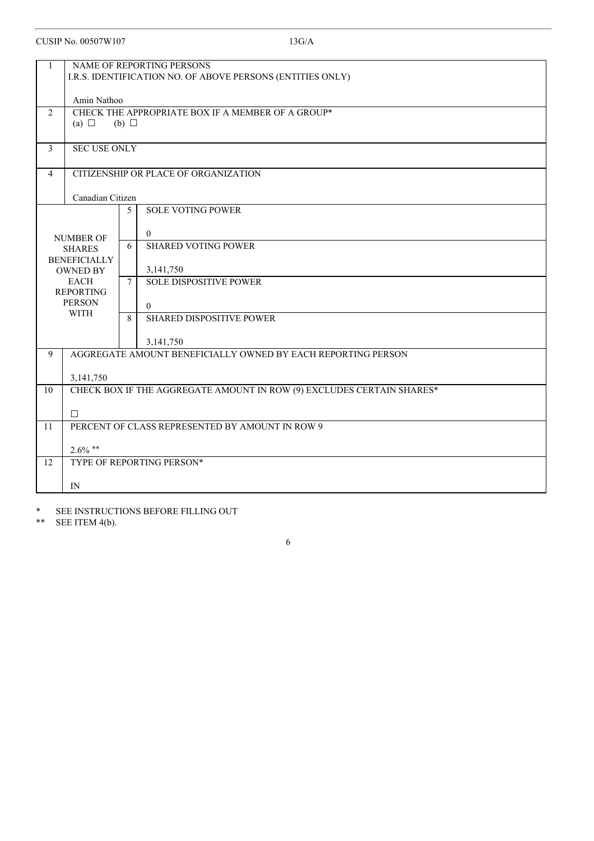| 1                |                                                            | NAME OF REPORTING PERSONS                                             |  |
|------------------|------------------------------------------------------------|-----------------------------------------------------------------------|--|
|                  | I.R.S. IDENTIFICATION NO. OF ABOVE PERSONS (ENTITIES ONLY) |                                                                       |  |
|                  |                                                            |                                                                       |  |
|                  | Amin Nathoo                                                |                                                                       |  |
| 2                |                                                            | CHECK THE APPROPRIATE BOX IF A MEMBER OF A GROUP*                     |  |
|                  | (a) $\Box$                                                 | (b) $\Box$                                                            |  |
|                  |                                                            |                                                                       |  |
| 3                | <b>SEC USE ONLY</b>                                        |                                                                       |  |
| 4                |                                                            | CITIZENSHIP OR PLACE OF ORGANIZATION                                  |  |
|                  |                                                            |                                                                       |  |
|                  | Canadian Citizen                                           |                                                                       |  |
|                  |                                                            | <b>SOLE VOTING POWER</b><br>5                                         |  |
|                  |                                                            |                                                                       |  |
|                  | <b>NUMBER OF</b>                                           | $\theta$                                                              |  |
|                  | <b>SHARES</b>                                              | <b>SHARED VOTING POWER</b><br>6                                       |  |
|                  | <b>BENEFICIALLY</b>                                        |                                                                       |  |
|                  | <b>OWNED BY</b><br><b>EACH</b>                             | 3,141,750<br><b>SOLE DISPOSITIVE POWER</b><br>$7\overline{ }$         |  |
| <b>REPORTING</b> |                                                            |                                                                       |  |
|                  | <b>PERSON</b>                                              | $\theta$                                                              |  |
|                  | <b>WITH</b>                                                | 8<br><b>SHARED DISPOSITIVE POWER</b>                                  |  |
|                  |                                                            |                                                                       |  |
|                  |                                                            | 3,141,750                                                             |  |
| 9                |                                                            | AGGREGATE AMOUNT BENEFICIALLY OWNED BY EACH REPORTING PERSON          |  |
|                  | 3,141,750                                                  |                                                                       |  |
| 10               |                                                            | CHECK BOX IF THE AGGREGATE AMOUNT IN ROW (9) EXCLUDES CERTAIN SHARES* |  |
|                  |                                                            |                                                                       |  |
|                  | П                                                          |                                                                       |  |
| 11               |                                                            | PERCENT OF CLASS REPRESENTED BY AMOUNT IN ROW 9                       |  |
|                  | $2.6\%$ **                                                 |                                                                       |  |
| 12               |                                                            | TYPE OF REPORTING PERSON*                                             |  |
|                  |                                                            |                                                                       |  |
|                  | IN                                                         |                                                                       |  |

6

\* SEE INSTRUCTIONS BEFORE FILLING OUT<br>\*\* SEE ITEM 4(b).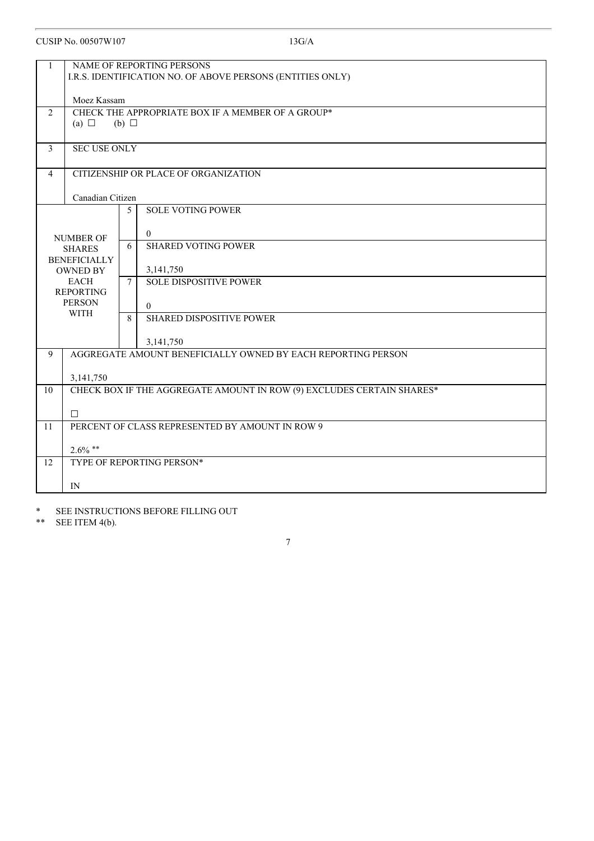| 1  |                                                            | NAME OF REPORTING PERSONS                                             |  |
|----|------------------------------------------------------------|-----------------------------------------------------------------------|--|
|    | I.R.S. IDENTIFICATION NO. OF ABOVE PERSONS (ENTITIES ONLY) |                                                                       |  |
|    |                                                            |                                                                       |  |
|    | Moez Kassam                                                |                                                                       |  |
| 2  |                                                            | CHECK THE APPROPRIATE BOX IF A MEMBER OF A GROUP*                     |  |
|    | (a) $\Box$                                                 | $(b)$ $\square$                                                       |  |
| 3  | <b>SEC USE ONLY</b>                                        |                                                                       |  |
|    |                                                            |                                                                       |  |
| 4  |                                                            | CITIZENSHIP OR PLACE OF ORGANIZATION                                  |  |
|    |                                                            |                                                                       |  |
|    | Canadian Citizen                                           |                                                                       |  |
|    |                                                            | <b>SOLE VOTING POWER</b><br>5                                         |  |
|    |                                                            | $\theta$                                                              |  |
|    | <b>NUMBER OF</b><br><b>SHARES</b>                          | <b>SHARED VOTING POWER</b><br>6                                       |  |
|    | <b>BENEFICIALLY</b>                                        |                                                                       |  |
|    | <b>OWNED BY</b>                                            | 3,141,750                                                             |  |
|    | <b>EACH</b>                                                | <b>SOLE DISPOSITIVE POWER</b><br>$7\overline{ }$                      |  |
|    | <b>REPORTING</b><br><b>PERSON</b>                          |                                                                       |  |
|    | <b>WITH</b>                                                | $\theta$<br>8<br><b>SHARED DISPOSITIVE POWER</b>                      |  |
|    |                                                            |                                                                       |  |
|    |                                                            | 3,141,750                                                             |  |
| 9  |                                                            | AGGREGATE AMOUNT BENEFICIALLY OWNED BY EACH REPORTING PERSON          |  |
|    |                                                            |                                                                       |  |
| 10 | 3,141,750                                                  | CHECK BOX IF THE AGGREGATE AMOUNT IN ROW (9) EXCLUDES CERTAIN SHARES* |  |
|    |                                                            |                                                                       |  |
|    | П                                                          |                                                                       |  |
| 11 |                                                            | PERCENT OF CLASS REPRESENTED BY AMOUNT IN ROW 9                       |  |
|    | $2.6\%$ **                                                 |                                                                       |  |
| 12 |                                                            | TYPE OF REPORTING PERSON*                                             |  |
|    |                                                            |                                                                       |  |
|    | IN                                                         |                                                                       |  |

\* SEE INSTRUCTIONS BEFORE FILLING OUT<br>\*\* SEE ITEM 4(b).

SEE ITEM 4(b).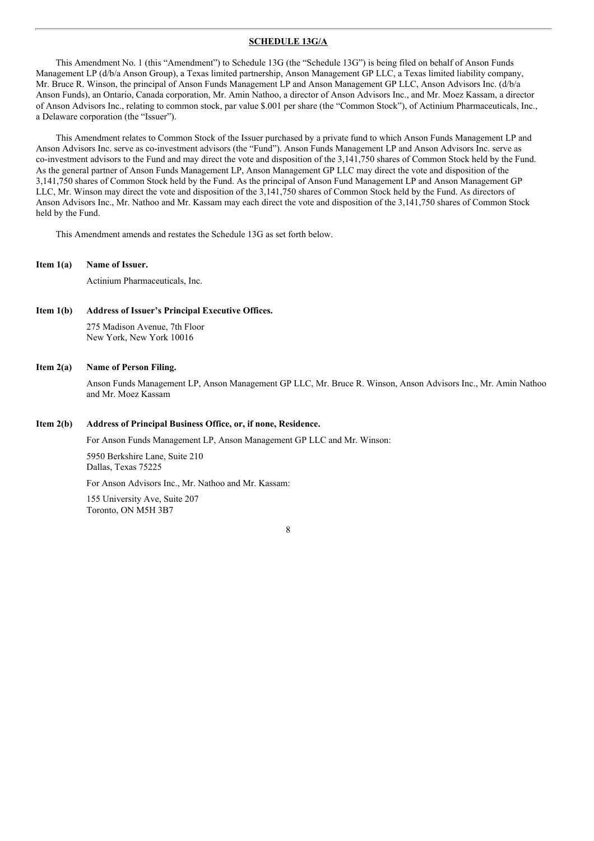#### **SCHEDULE 13G/A**

This Amendment No. 1 (this "Amendment") to Schedule 13G (the "Schedule 13G") is being filed on behalf of Anson Funds Management LP (d/b/a Anson Group), a Texas limited partnership, Anson Management GP LLC, a Texas limited liability company, Mr. Bruce R. Winson, the principal of Anson Funds Management LP and Anson Management GP LLC, Anson Advisors Inc. (d/b/a Anson Funds), an Ontario, Canada corporation, Mr. Amin Nathoo, a director of Anson Advisors Inc., and Mr. Moez Kassam, a director of Anson Advisors Inc., relating to common stock, par value \$.001 per share (the "Common Stock"), of Actinium Pharmaceuticals, Inc., a Delaware corporation (the "Issuer").

This Amendment relates to Common Stock of the Issuer purchased by a private fund to which Anson Funds Management LP and Anson Advisors Inc. serve as co-investment advisors (the "Fund"). Anson Funds Management LP and Anson Advisors Inc. serve as co-investment advisors to the Fund and may direct the vote and disposition of the 3,141,750 shares of Common Stock held by the Fund. As the general partner of Anson Funds Management LP, Anson Management GP LLC may direct the vote and disposition of the 3,141,750 shares of Common Stock held by the Fund. As the principal of Anson Fund Management LP and Anson Management GP LLC, Mr. Winson may direct the vote and disposition of the 3,141,750 shares of Common Stock held by the Fund. As directors of Anson Advisors Inc., Mr. Nathoo and Mr. Kassam may each direct the vote and disposition of the 3,141,750 shares of Common Stock held by the Fund.

This Amendment amends and restates the Schedule 13G as set forth below.

**Item 1(a) Name of Issuer.**

Actinium Pharmaceuticals, Inc.

**Item 1(b) Address of Issuer's Principal Executive Offices.** 275 Madison Avenue, 7th Floor New York, New York 10016

#### **Item 2(a) Name of Person Filing.**

Anson Funds Management LP, Anson Management GP LLC, Mr. Bruce R. Winson, Anson Advisors Inc., Mr. Amin Nathoo and Mr. Moez Kassam

#### **Item 2(b) Address of Principal Business Office, or, if none, Residence.**

For Anson Funds Management LP, Anson Management GP LLC and Mr. Winson:

5950 Berkshire Lane, Suite 210 Dallas, Texas 75225

For Anson Advisors Inc., Mr. Nathoo and Mr. Kassam:

155 University Ave, Suite 207 Toronto, ON M5H 3B7

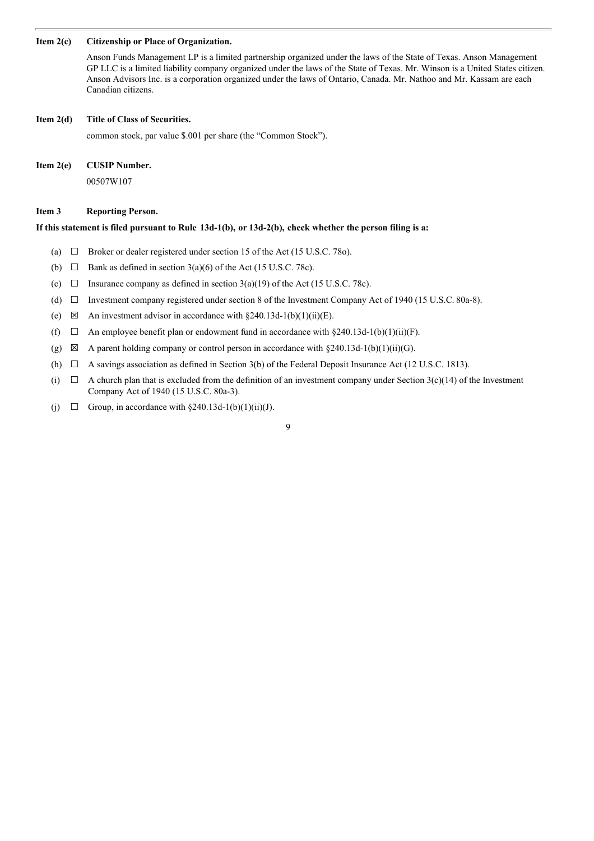#### **Item 2(c) Citizenship or Place of Organization.**

Anson Funds Management LP is a limited partnership organized under the laws of the State of Texas. Anson Management GP LLC is a limited liability company organized under the laws of the State of Texas. Mr. Winson is a United States citizen. Anson Advisors Inc. is a corporation organized under the laws of Ontario, Canada. Mr. Nathoo and Mr. Kassam are each Canadian citizens.

#### **Item 2(d) Title of Class of Securities.**

common stock, par value \$.001 per share (the "Common Stock").

#### **Item 2(e) CUSIP Number.**

00507W107

#### **Item 3 Reporting Person.**

#### If this statement is filed pursuant to Rule 13d-1(b), or 13d-2(b), check whether the person filing is a:

- (a)  $\Box$  Broker or dealer registered under section 15 of the Act (15 U.S.C. 780).
- (b)  $\Box$  Bank as defined in section 3(a)(6) of the Act (15 U.S.C. 78c).
- (c)  $\Box$  Insurance company as defined in section 3(a)(19) of the Act (15 U.S.C. 78c).
- (d) ☐ Investment company registered under section 8 of the Investment Company Act of 1940 (15 U.S.C. 80a-8).
- (e)  $\boxtimes$  An investment advisor in accordance with §240.13d-1(b)(1)(ii)(E).
- (f)  $\Box$  An employee benefit plan or endowment fund in accordance with §240.13d-1(b)(1)(ii)(F).
- (g)  $\boxtimes$  A parent holding company or control person in accordance with §240.13d-1(b)(1)(ii)(G).
- (h)  $\Box$  A savings association as defined in Section 3(b) of the Federal Deposit Insurance Act (12 U.S.C. 1813).
- (i)  $\Box$  A church plan that is excluded from the definition of an investment company under Section 3(c)(14) of the Investment Company Act of 1940 (15 U.S.C. 80a-3).
- (j)  $\Box$  Group, in accordance with §240.13d-1(b)(1)(ii)(J).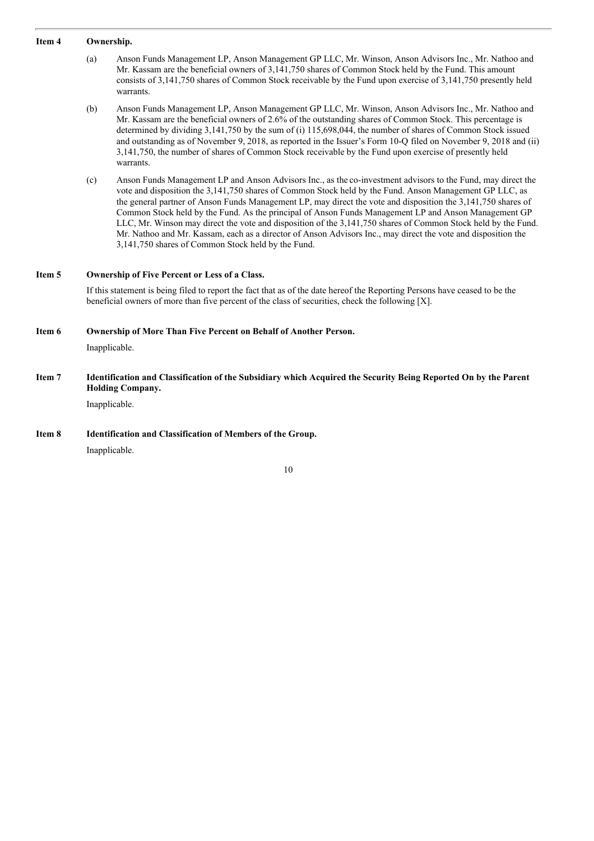#### **Item 4 Ownership.**

- (a) Anson Funds Management LP, Anson Management GP LLC, Mr. Winson, Anson Advisors Inc., Mr. Nathoo and Mr. Kassam are the beneficial owners of 3,141,750 shares of Common Stock held by the Fund. This amount consists of 3,141,750 shares of Common Stock receivable by the Fund upon exercise of 3,141,750 presently held warrants.
- (b) Anson Funds Management LP, Anson Management GP LLC, Mr. Winson, Anson Advisors Inc., Mr. Nathoo and Mr. Kassam are the beneficial owners of 2.6% of the outstanding shares of Common Stock. This percentage is determined by dividing 3,141,750 by the sum of (i) 115,698,044, the number of shares of Common Stock issued and outstanding as of November 9, 2018, as reported in the Issuer's Form 10-Q filed on November 9, 2018 and (ii) 3,141,750, the number of shares of Common Stock receivable by the Fund upon exercise of presently held warrants.
- (c) Anson Funds Management LP and Anson Advisors Inc., as the co-investment advisors to the Fund, may direct the vote and disposition the 3,141,750 shares of Common Stock held by the Fund. Anson Management GP LLC, as the general partner of Anson Funds Management LP, may direct the vote and disposition the 3,141,750 shares of Common Stock held by the Fund. As the principal of Anson Funds Management LP and Anson Management GP LLC, Mr. Winson may direct the vote and disposition of the 3,141,750 shares of Common Stock held by the Fund. Mr. Nathoo and Mr. Kassam, each as a director of Anson Advisors Inc., may direct the vote and disposition the 3,141,750 shares of Common Stock held by the Fund.

## **Item 5 Ownership of Five Percent or Less of a Class.**

If this statement is being filed to report the fact that as of the date hereof the Reporting Persons have ceased to be the beneficial owners of more than five percent of the class of securities, check the following [X].

#### **Item 6 Ownership of More Than Five Percent on Behalf of Another Person.**

Inapplicable.

### Item 7 Identification and Classification of the Subsidiary which Acquired the Security Being Reported On by the Parent **Holding Company.**

Inapplicable.

#### **Item 8 Identification and Classification of Members of the Group.**

Inapplicable.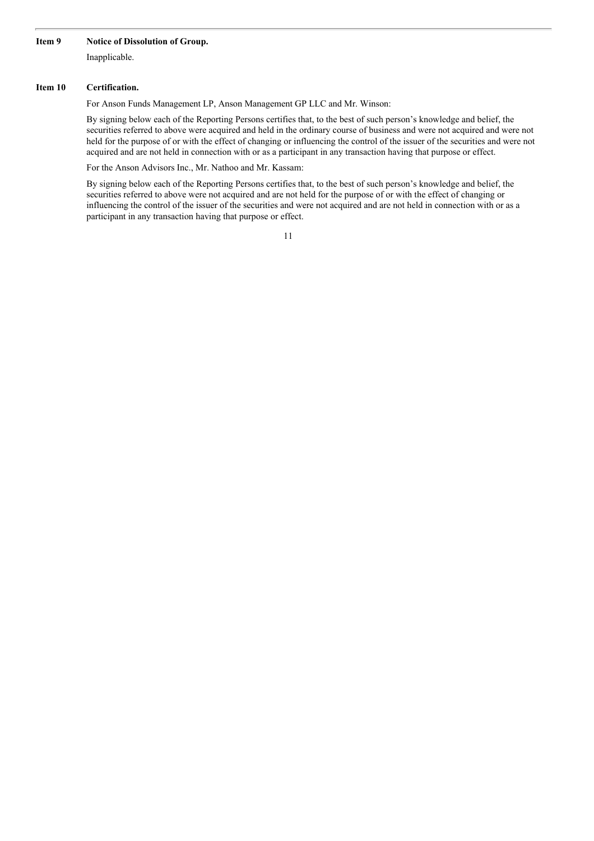#### **Item 9 Notice of Dissolution of Group.**

Inapplicable.

#### **Item 10 Certification.**

For Anson Funds Management LP, Anson Management GP LLC and Mr. Winson:

By signing below each of the Reporting Persons certifies that, to the best of such person's knowledge and belief, the securities referred to above were acquired and held in the ordinary course of business and were not acquired and were not held for the purpose of or with the effect of changing or influencing the control of the issuer of the securities and were not acquired and are not held in connection with or as a participant in any transaction having that purpose or effect.

For the Anson Advisors Inc., Mr. Nathoo and Mr. Kassam:

By signing below each of the Reporting Persons certifies that, to the best of such person's knowledge and belief, the securities referred to above were not acquired and are not held for the purpose of or with the effect of changing or influencing the control of the issuer of the securities and were not acquired and are not held in connection with or as a participant in any transaction having that purpose or effect.